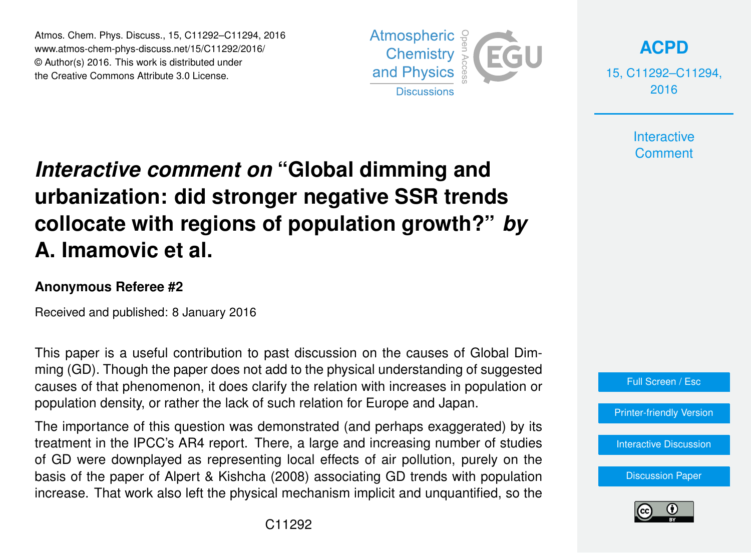Atmos. Chem. Phys. Discuss., 15, C11292–C11294, 2016 www.atmos-chem-phys-discuss.net/15/C11292/2016/ © Author(s) 2016. This work is distributed under the Creative Commons Attribute 3.0 License.



**[ACPD](http://www.atmos-chem-phys-discuss.net)**

15, C11292–C11294, 2016

> **Interactive Comment**

## *Interactive comment on* **"Global dimming and urbanization: did stronger negative SSR trends collocate with regions of population growth?"** *by* **A. Imamovic et al.**

## **Anonymous Referee #2**

Received and published: 8 January 2016

This paper is a useful contribution to past discussion on the causes of Global Dimming (GD). Though the paper does not add to the physical understanding of suggested causes of that phenomenon, it does clarify the relation with increases in population or population density, or rather the lack of such relation for Europe and Japan.

The importance of this question was demonstrated (and perhaps exaggerated) by its treatment in the IPCC's AR4 report. There, a large and increasing number of studies of GD were downplayed as representing local effects of air pollution, purely on the basis of the paper of Alpert & Kishcha (2008) associating GD trends with population increase. That work also left the physical mechanism implicit and unquantified, so the



[Printer-friendly Version](http://www.atmos-chem-phys-discuss.net/15/C11292/2016/acpd-15-C11292-2016-print.pdf)

[Interactive Discussion](http://www.atmos-chem-phys-discuss.net/15/31133/2015/acpd-15-31133-2015-discussion.html)

[Discussion Paper](http://www.atmos-chem-phys-discuss.net/15/31133/2015/acpd-15-31133-2015.pdf)

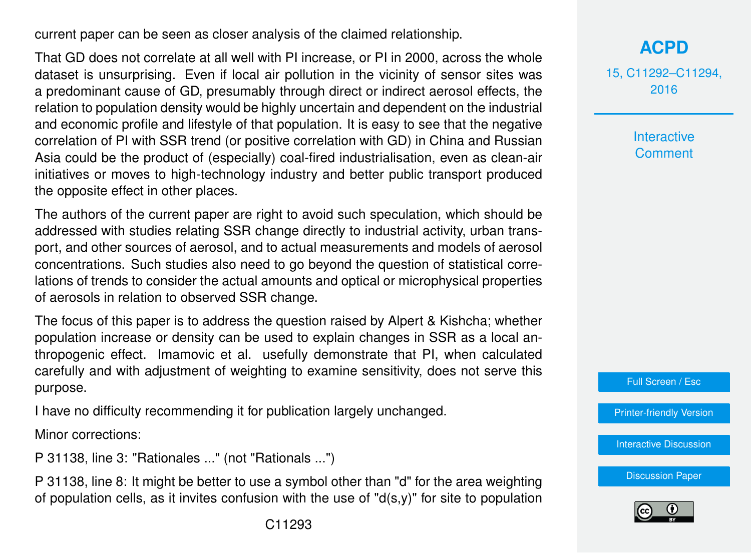current paper can be seen as closer analysis of the claimed relationship.

That GD does not correlate at all well with PI increase, or PI in 2000, across the whole dataset is unsurprising. Even if local air pollution in the vicinity of sensor sites was a predominant cause of GD, presumably through direct or indirect aerosol effects, the relation to population density would be highly uncertain and dependent on the industrial and economic profile and lifestyle of that population. It is easy to see that the negative correlation of PI with SSR trend (or positive correlation with GD) in China and Russian Asia could be the product of (especially) coal-fired industrialisation, even as clean-air initiatives or moves to high-technology industry and better public transport produced the opposite effect in other places.

The authors of the current paper are right to avoid such speculation, which should be addressed with studies relating SSR change directly to industrial activity, urban transport, and other sources of aerosol, and to actual measurements and models of aerosol concentrations. Such studies also need to go beyond the question of statistical correlations of trends to consider the actual amounts and optical or microphysical properties of aerosols in relation to observed SSR change.

The focus of this paper is to address the question raised by Alpert & Kishcha; whether population increase or density can be used to explain changes in SSR as a local anthropogenic effect. Imamovic et al. usefully demonstrate that PI, when calculated carefully and with adjustment of weighting to examine sensitivity, does not serve this purpose.

I have no difficulty recommending it for publication largely unchanged.

Minor corrections:

P 31138, line 3: "Rationales ..." (not "Rationals ...")

P 31138, line 8: It might be better to use a symbol other than "d" for the area weighting of population cells, as it invites confusion with the use of " $d(s,y)$ " for site to population 15, C11292–C11294, 2016

> **Interactive Comment**

Full Screen / Esc

[Printer-friendly Version](http://www.atmos-chem-phys-discuss.net/15/C11292/2016/acpd-15-C11292-2016-print.pdf)

[Interactive Discussion](http://www.atmos-chem-phys-discuss.net/15/31133/2015/acpd-15-31133-2015-discussion.html)

[Discussion Paper](http://www.atmos-chem-phys-discuss.net/15/31133/2015/acpd-15-31133-2015.pdf)